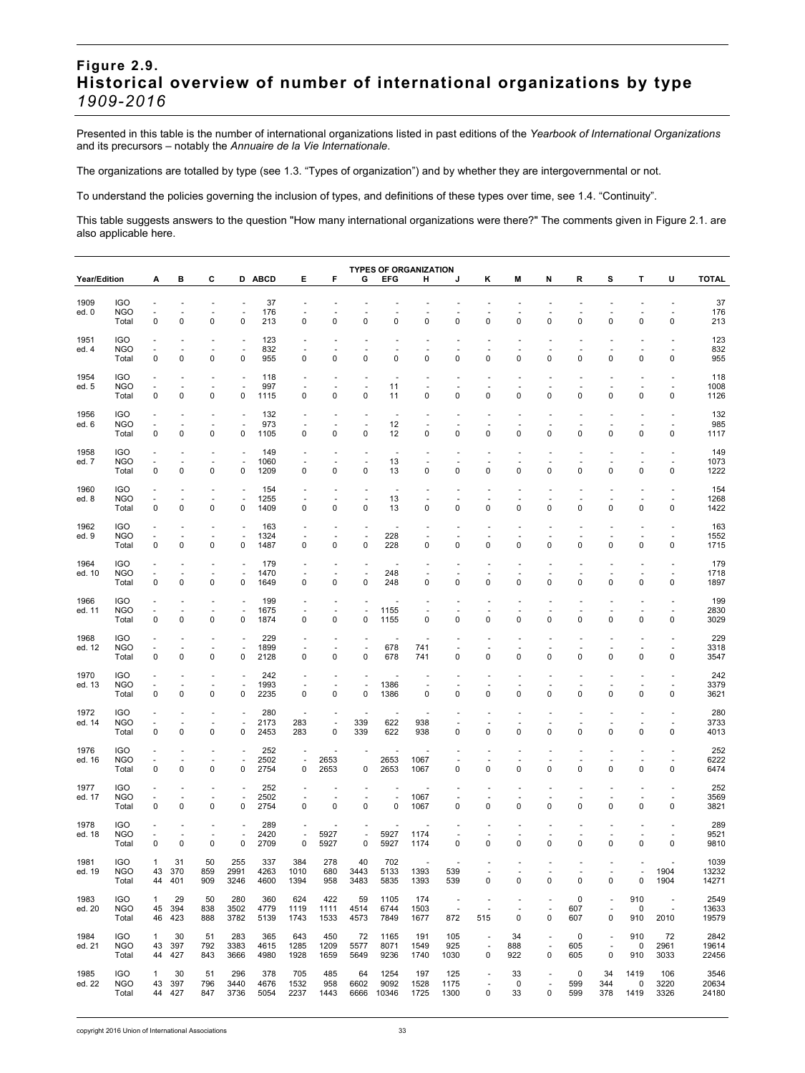## **Figure 2.9. Historical overview of number of international organizations by type**  *1909-2016*

Presented in this table is the number of international organizations listed in past editions of the *Yearbook of International Organizations*  and its precursors – notably the *Annuaire de la Vie Internationale*.

The organizations are totalled by type (see 1.3. "Types of organization") and by whether they are intergovernmental or not.

To understand the policies governing the inclusion of types, and definitions of these types over time, see 1.4. "Continuity".

This table suggests answers to the question "How many international organizations were there?" The comments given in Figure 2.1. are also applicable here.

|                | <b>TYPES OF ORGANIZATION</b><br><b>Year/Edition</b><br>С<br>D ABCD<br>Е<br>F<br><b>EFG</b><br><b>TOTAL</b><br>в<br>G<br>н<br>κ<br>M<br>N<br>R<br>s<br>т<br>U<br>А<br>J |                               |                                         |                                            |                                                 |                     |                               |                                          |                                                 |                               |                                         |                                                             |                                     |                   |                                                           |                   |                                                           |                               |                                            |                        |
|----------------|------------------------------------------------------------------------------------------------------------------------------------------------------------------------|-------------------------------|-----------------------------------------|--------------------------------------------|-------------------------------------------------|---------------------|-------------------------------|------------------------------------------|-------------------------------------------------|-------------------------------|-----------------------------------------|-------------------------------------------------------------|-------------------------------------|-------------------|-----------------------------------------------------------|-------------------|-----------------------------------------------------------|-------------------------------|--------------------------------------------|------------------------|
|                |                                                                                                                                                                        |                               |                                         |                                            |                                                 |                     |                               |                                          |                                                 |                               |                                         |                                                             |                                     |                   |                                                           |                   |                                                           |                               |                                            |                        |
| 1909<br>ed. 0  | <b>IGO</b><br><b>NGO</b><br>Total                                                                                                                                      | $\overline{\phantom{a}}$<br>0 | $\overline{\phantom{a}}$<br>$\mathbf 0$ | ٠<br>$\overline{\phantom{a}}$<br>$\pmb{0}$ | $\sim$<br>$\overline{\phantom{a}}$<br>$\pmb{0}$ | 37<br>176<br>213    | $\overline{\phantom{a}}$<br>0 | ÷,<br>$\mathbf 0$                        | $\overline{\phantom{a}}$<br>0                   | $\overline{\phantom{a}}$<br>0 | $\overline{\phantom{a}}$<br>$\mathbf 0$ | $\overline{\phantom{a}}$<br>0                               | ÷,<br>$\mathbf 0$                   | ÷,<br>0           | $\overline{\phantom{a}}$<br>0                             | ÷,<br>0           | $\overline{\phantom{a}}$<br>0                             | ÷,<br>$\mathbf 0$             | ÷,<br>$\overline{\phantom{a}}$<br>0        | 37<br>176<br>213       |
| 1951<br>ed. 4  | <b>IGO</b><br><b>NGO</b><br>Total                                                                                                                                      | $\ddot{\phantom{1}}$<br>0     | ÷<br>0                                  | ٠<br>0                                     | ÷<br>÷,<br>$\mathbf 0$                          | 123<br>832<br>955   | $\sim$<br>0                   | ÷,<br>0                                  | $\ddot{\phantom{1}}$<br>0                       | ÷.<br>0                       | $\ddot{\phantom{1}}$<br>0               | ÷,<br>0                                                     | ä,<br>0                             | ÷,<br>0           | $\ddot{\phantom{1}}$<br>0                                 | ä,<br>0           | $\ddot{\phantom{1}}$<br>0                                 | ÷,<br>0                       | $\overline{\phantom{a}}$<br>0              | 123<br>832<br>955      |
| 1954<br>ed. 5  | <b>IGO</b><br><b>NGO</b><br>Total                                                                                                                                      | $\mathbf 0$                   | $\mathbf 0$                             | 0                                          | 0                                               | 118<br>997<br>1115  | ٠<br>0                        | 0                                        | 0                                               | 11<br>11                      | 0                                       | 0                                                           | 0                                   | 0                 | 0                                                         | 0                 | 0                                                         | 0                             | $\overline{\phantom{a}}$<br>0              | 118<br>1008<br>1126    |
| 1956<br>ed. 6  | <b>IGO</b><br><b>NGO</b><br>Total                                                                                                                                      | ÷,<br>$\pmb{0}$               | ٠<br>$\mathbf 0$                        | ٠<br>$\mathbf 0$                           | $\sim$<br>0                                     | 132<br>973<br>1105  | $\sim$<br>0                   | ٠<br>$\mathbf 0$                         | $\sim$<br>0                                     | 12<br>12                      | $\ddot{\phantom{1}}$<br>0               | ÷,<br>$\mathbf 0$                                           | ÷,<br>0                             | ÷,<br>$\mathbf 0$ | $\ddot{\phantom{1}}$<br>0                                 | ä,<br>$\mathbf 0$ | $\ddot{\phantom{1}}$<br>0                                 | ÷,<br>$\mathbf 0$             | ÷,<br>0                                    | 132<br>985<br>1117     |
| 1958<br>ed. 7  | <b>IGO</b><br><b>NGO</b><br>Total                                                                                                                                      | 0                             | 0                                       | 0                                          | $\mathbf 0$                                     | 149<br>1060<br>1209 | 0                             | 0                                        | 0                                               | 13<br>13                      | 0                                       | 0                                                           | 0                                   | 0                 | 0                                                         | 0                 | 0                                                         | 0                             | 0                                          | 149<br>1073<br>1222    |
| 1960<br>ed. 8  | <b>IGO</b><br><b>NGO</b><br>Total                                                                                                                                      | $\overline{\phantom{a}}$<br>0 | ٠<br>$\mathbf 0$                        | $\overline{\phantom{a}}$<br>$\pmb{0}$      | ä,<br>÷,<br>0                                   | 154<br>1255<br>1409 | $\overline{\phantom{a}}$<br>0 | ٠<br>0                                   | ÷,<br>0                                         | ÷.<br>13<br>13                | $\overline{\phantom{a}}$<br>0           | ٠<br>0                                                      | ä,<br>0                             | ÷,<br>$\mathbf 0$ | ÷,<br>0                                                   | ä,<br>0           | $\blacksquare$<br>0                                       | ÷,<br>$\mathbf 0$             | ä,<br>÷,<br>0                              | 154<br>1268<br>1422    |
| 1962<br>ed. 9  | <b>IGO</b><br><b>NGO</b><br>Total                                                                                                                                      | $\overline{\phantom{a}}$<br>0 | ٠<br>$\mathbf 0$                        | ÷.<br>0                                    | ٠<br>÷,<br>$\mathbf 0$                          | 163<br>1324<br>1487 | $\sim$<br>0                   | $\overline{a}$<br>0                      | ÷.<br>0                                         | 228<br>228                    | $\overline{\phantom{a}}$<br>0           | ÷,<br>0                                                     | ÷,<br>0                             | ÷,<br>$\mathbf 0$ | $\ddot{\phantom{1}}$<br>0                                 | ÷,<br>0           | $\ddot{\phantom{1}}$<br>0                                 | ÷,<br>0                       | $\overline{\phantom{a}}$<br>0              | 163<br>1552<br>1715    |
| 1964<br>ed. 10 | <b>IGO</b><br><b>NGO</b><br>Total                                                                                                                                      | $\mathbf 0$                   | $\mathbf 0$                             | 0                                          | ٠<br>0                                          | 179<br>1470<br>1649 | ٠<br>0                        | 0                                        | $\blacksquare$<br>ł,<br>0                       | 248<br>248                    | ٠<br>0                                  | 0                                                           | 0                                   | $\mathbf 0$       | 0                                                         | 0                 | 0                                                         | 0                             | ٠<br>÷,<br>0                               | 179<br>1718<br>1897    |
| 1966<br>ed. 11 | <b>IGO</b><br><b>NGO</b><br>Total                                                                                                                                      | ÷,<br>0                       | $\overline{\phantom{a}}$<br>$\mathbf 0$ | ٠<br>$\pmb{0}$                             | ÷,<br>0                                         | 199<br>1675<br>1874 | $\blacksquare$<br>0           | ٠<br>0                                   | ÷,<br>0                                         | 1155<br>1155                  | $\ddot{\phantom{1}}$<br>0               | $\mathbf 0$                                                 | 0                                   | ÷,<br>$\mathbf 0$ | 0                                                         | $\mathbf 0$       | 0                                                         | ÷,<br>$\mathbf 0$             | ÷,<br>0                                    | 199<br>2830<br>3029    |
| 1968<br>ed. 12 | <b>IGO</b><br><b>NGO</b><br>Total                                                                                                                                      | 0                             | $\mathbf 0$                             | $\mathbf 0$                                | ł,<br>$\mathbf 0$                               | 229<br>1899<br>2128 | 0                             | 0                                        | $\overline{\phantom{a}}$<br>0                   | 678<br>678                    | 741<br>741                              | 0                                                           | 0                                   | 0                 | 0                                                         | $\mathbf 0$       | 0                                                         | 0                             | 0                                          | 229<br>3318<br>3547    |
| 1970<br>ed. 13 | <b>IGO</b><br><b>NGO</b><br>Total                                                                                                                                      | $\overline{\phantom{a}}$<br>0 | $\sim$<br>$\mathbf 0$                   | $\overline{\phantom{a}}$<br>$\pmb{0}$      | ٠<br>$\overline{\phantom{a}}$<br>$\mathbf 0$    | 242<br>1993<br>2235 | $\overline{\phantom{a}}$<br>0 | ÷,<br>0                                  | $\overline{a}$<br>$\overline{\phantom{a}}$<br>0 | 1386<br>1386                  | ÷,<br>0                                 | ÷,<br>0                                                     | ÷,<br>0                             | ÷,<br>$\mathbf 0$ | ÷,<br>0                                                   | ÷,<br>$\mathbf 0$ | ÷,<br>0                                                   | ÷,<br>$\mathbf 0$             | ÷,<br>0                                    | 242<br>3379<br>3621    |
| 1972<br>ed. 14 | <b>IGO</b><br><b>NGO</b><br>Total                                                                                                                                      | ÷,<br>0                       | $\overline{\phantom{a}}$<br>$\mathbf 0$ | ٠<br>0                                     | ÷,<br>ä,<br>$\mathbf 0$                         | 280<br>2173<br>2453 | 283<br>283                    | $\sim$<br>0                              | 339<br>339                                      | 622<br>622                    | 938<br>938                              | ÷,<br>0                                                     | ä,<br>0                             | ÷,<br>$\mathbf 0$ | ÷,<br>0                                                   | ä,<br>0           | $\ddot{\phantom{1}}$<br>0                                 | ÷,<br>$\mathbf 0$             | $\overline{\phantom{a}}$<br>0              | 280<br>3733<br>4013    |
| 1976<br>ed. 16 | <b>IGO</b><br><b>NGO</b><br>Total                                                                                                                                      | ÷,<br>$\mathbf 0$             | $\mathbf 0$                             | 0                                          | ٠<br>÷,<br>0                                    | 252<br>2502<br>2754 | $\sim$<br>÷,<br>0             | $\overline{\phantom{a}}$<br>2653<br>2653 | $\blacksquare$<br>0                             | ÷.<br>2653<br>2653            | 1067<br>1067                            | 0                                                           | 0                                   | 0                 | 0                                                         | 0                 | 0                                                         | 0                             | ٠<br>÷,<br>0                               | 252<br>6222<br>6474    |
| 1977<br>ed. 17 | <b>IGO</b><br><b>NGO</b><br>Total                                                                                                                                      | $\bar{a}$<br>0                | $\blacksquare$<br>$\mathbf 0$           | ٠<br>$\pmb{0}$                             | ÷,<br>$\mathbf 0$                               | 252<br>2502<br>2754 | $\blacksquare$<br>0           | ٠<br>$\mathbf 0$                         | $\overline{\phantom{a}}$<br>0                   | ÷.<br>$\pmb{0}$               | 1067<br>1067                            | ÷,<br>0                                                     | ÷,<br>0                             | ÷,<br>$\mathbf 0$ | $\ddot{\phantom{1}}$<br>0                                 | ä,<br>$\mathbf 0$ | $\ddot{\phantom{1}}$<br>$\Omega$                          | ÷,<br>$\Omega$                | ÷,<br>0                                    | 252<br>3569<br>3821    |
| 1978<br>ed. 18 | <b>IGO</b><br><b>NGO</b><br>Total                                                                                                                                      | $\mathbf 0$                   | $\mathbf 0$                             | 0                                          | $\mathbf 0$                                     | 289<br>2420<br>2709 | $\overline{\phantom{a}}$<br>0 | 5927<br>5927                             | ÷,<br>0                                         | 5927<br>5927                  | 1174<br>1174                            | 0                                                           | 0                                   | $\mathbf 0$       | 0                                                         | 0                 | 0                                                         | 0                             | 0                                          | 289<br>9521<br>9810    |
| 1981<br>ed. 19 | <b>IGO</b><br>NGO<br>Total                                                                                                                                             | $\mathbf{1}$<br>43<br>44      | 31<br>370<br>401                        | 50<br>859<br>909                           | 255<br>2991<br>3246                             | 337<br>4263<br>4600 | 384<br>1010<br>1394           | 278<br>680<br>958                        | 40<br>3443<br>3483                              | 702<br>5133<br>5835           | 1393<br>1393                            | 539<br>539                                                  | ٠<br>0                              | $\mathbf 0$       | 0                                                         | 0                 | ٠<br>0                                                    | $\overline{\phantom{a}}$<br>0 | 1904<br>1904                               | 1039<br>13232<br>14271 |
| 1983<br>ed. 20 | <b>IGO</b><br><b>NGO</b><br>Total                                                                                                                                      | $\mathbf{1}$<br>45<br>46      | 29<br>394<br>423                        | 50<br>838<br>888                           | 280<br>3502<br>3782                             | 360<br>4779<br>5139 | 624<br>1119<br>1743           | 422<br>1111<br>1533                      | 59<br>4514<br>4573                              | 1105<br>6744<br>7849          | 174<br>1503<br>1677                     | $\overline{\phantom{a}}$<br>$\overline{\phantom{a}}$<br>872 | $\overline{a}$<br>÷,<br>515         | ٠<br>÷,<br>0      | $\overline{\phantom{m}}$<br>$\overline{\phantom{a}}$<br>0 | 0<br>607<br>607   | $\overline{\phantom{a}}$<br>$\overline{\phantom{a}}$<br>0 | 910<br>0<br>910               | $\overline{\phantom{a}}$<br>$\sim$<br>2010 | 2549<br>13633<br>19579 |
| 1984<br>ed. 21 | <b>IGO</b><br><b>NGO</b><br>Total                                                                                                                                      | $\mathbf{1}$<br>43<br>44      | 30<br>397<br>427                        | 51<br>792<br>843                           | 283<br>3383<br>3666                             | 365<br>4615<br>4980 | 643<br>1285<br>1928           | 450<br>1209<br>1659                      | 72<br>5577<br>5649                              | 1165<br>8071<br>9236          | 191<br>1549<br>1740                     | 105<br>925<br>1030                                          | $\overline{\phantom{a}}$<br>÷,<br>0 | 34<br>888<br>922  | $\overline{\phantom{a}}$<br>$\overline{\phantom{a}}$<br>0 | 0<br>605<br>605   | $\overline{\phantom{a}}$<br>÷,<br>0                       | 910<br>0<br>910               | 72<br>2961<br>3033                         | 2842<br>19614<br>22456 |
| 1985<br>ed. 22 | <b>IGO</b><br>NGO<br>Total                                                                                                                                             | $\mathbf{1}$<br>43            | 30<br>397<br>44 427                     | 51<br>796<br>847                           | 296<br>3440<br>3736                             | 378<br>4676<br>5054 | 705<br>1532<br>2237           | 485<br>958<br>1443                       | 64<br>6602                                      | 1254<br>9092<br>6666 10346    | 197<br>1528<br>1725                     | 125<br>1175<br>1300                                         | ł,<br>÷,<br>0                       | 33<br>0<br>33     | $\overline{\phantom{a}}$<br>$\overline{\phantom{a}}$<br>0 | 0<br>599<br>599   | 34<br>344<br>378                                          | 1419<br>0<br>1419             | 106<br>3220<br>3326                        | 3546<br>20634<br>24180 |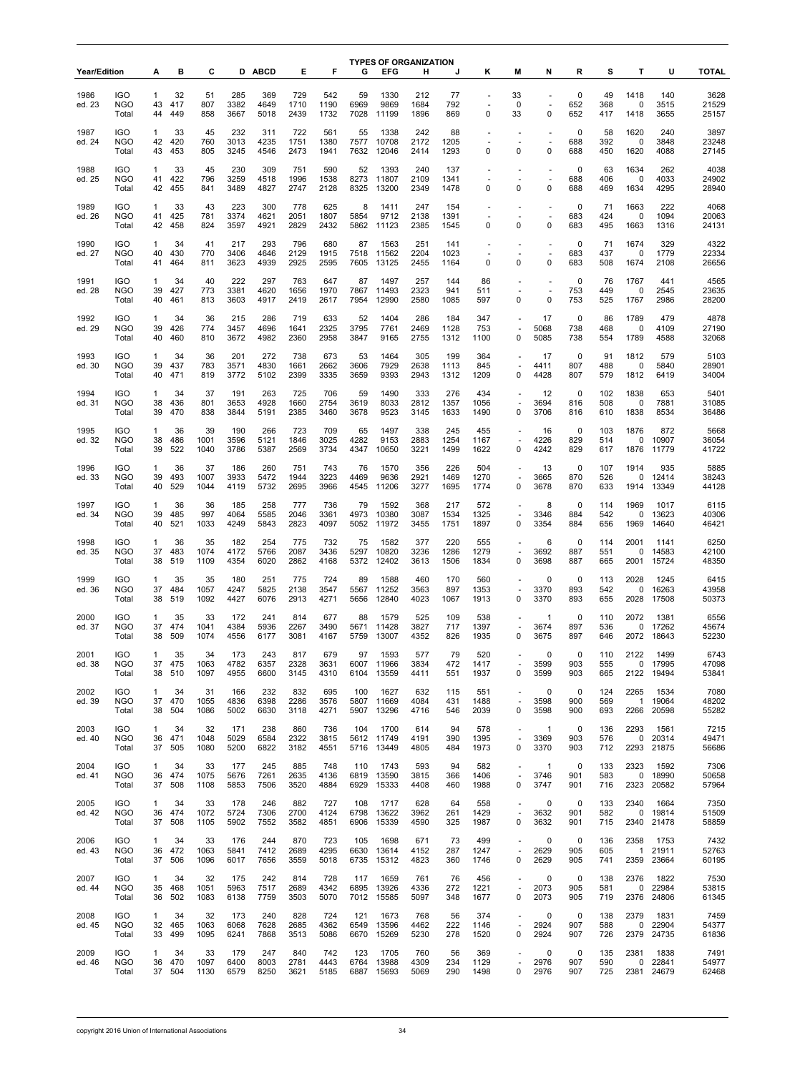|                     |                                   |                          |                  | С                  |                     |                     | Е                   | F                   | G                   | <b>TYPES OF ORGANIZATION</b> |                     |                     |                     |                                                                     |                                         |                           |                   |                              |                             | <b>TOTAL</b>           |
|---------------------|-----------------------------------|--------------------------|------------------|--------------------|---------------------|---------------------|---------------------|---------------------|---------------------|------------------------------|---------------------|---------------------|---------------------|---------------------------------------------------------------------|-----------------------------------------|---------------------------|-------------------|------------------------------|-----------------------------|------------------------|
| <b>Year/Edition</b> |                                   | А                        | в                |                    |                     | <b>D ABCD</b>       |                     |                     |                     | <b>EFG</b>                   | н                   |                     | κ                   | М                                                                   | N                                       | R                         | s                 | т                            | U                           |                        |
| 1986<br>ed. 23      | <b>IGO</b><br><b>NGO</b><br>Total | $\mathbf{1}$<br>43<br>44 | 32<br>417<br>449 | 51<br>807<br>858   | 285<br>3382<br>3667 | 369<br>4649<br>5018 | 729<br>1710<br>2439 | 542<br>1190<br>1732 | 59<br>6969<br>7028  | 1330<br>9869<br>11199        | 212<br>1684<br>1896 | 77<br>792<br>869    | 0                   | 33<br>0<br>33                                                       | $\blacksquare$<br>÷,<br>0               | 0<br>652<br>652           | 49<br>368<br>417  | 1418<br>0<br>1418            | 140<br>3515<br>3655         | 3628<br>21529<br>25157 |
| 1987<br>ed. 24      | <b>IGO</b><br><b>NGO</b><br>Total | 1<br>42<br>43            | 33<br>420<br>453 | 45<br>760<br>805   | 232<br>3013<br>3245 | 311<br>4235<br>4546 | 722<br>1751<br>2473 | 561<br>1380<br>1941 | 55<br>7577<br>7632  | 1338<br>10708<br>12046       | 242<br>2172<br>2414 | 88<br>1205<br>1293  | $\blacksquare$<br>0 | $\mathbf 0$                                                         | $\overline{\phantom{a}}$<br>$\mathbf 0$ | 0<br>688<br>688           | 58<br>392<br>450  | 1620<br>0<br>1620            | 240<br>3848<br>4088         | 3897<br>23248<br>27145 |
| 1988<br>ed. 25      | <b>IGO</b><br><b>NGO</b><br>Total | 1<br>41<br>42            | 33<br>422<br>455 | 45<br>796<br>841   | 230<br>3259<br>3489 | 309<br>4518<br>4827 | 751<br>1996<br>2747 | 590<br>1538<br>2128 | 52<br>8273<br>8325  | 1393<br>11807<br>13200       | 240<br>2109<br>2349 | 137<br>1341<br>1478 | 0                   | ٠<br>$\mathbf 0$                                                    | $\sim$<br>0                             | $\mathbf 0$<br>688<br>688 | 63<br>406<br>469  | 1634<br>0<br>1634            | 262<br>4033<br>4295         | 4038<br>24902<br>28940 |
| 1989<br>ed. 26      | <b>IGO</b><br><b>NGO</b><br>Total | 1<br>41<br>42            | 33<br>425<br>458 | 43<br>781<br>824   | 223<br>3374<br>3597 | 300<br>4621<br>4921 | 778<br>2051<br>2829 | 625<br>1807<br>2432 | 8<br>5854<br>5862   | 1411<br>9712<br>11123        | 247<br>2138<br>2385 | 154<br>1391<br>1545 | 0                   | $\mathbf 0$                                                         | $\overline{\phantom{a}}$<br>$\mathbf 0$ | 0<br>683<br>683           | 71<br>424<br>495  | 1663<br>$\mathbf 0$<br>1663  | 222<br>1094<br>1316         | 4068<br>20063<br>24131 |
| 1990<br>ed. 27      | <b>IGO</b><br><b>NGO</b>          | 1<br>40                  | 34<br>430        | 41<br>770          | 217<br>3406         | 293<br>4646         | 796<br>2129         | 680<br>1915         | 87<br>7518          | 1563<br>11562                | 251<br>2204         | 141<br>1023         |                     | ÷,                                                                  | $\sim$                                  | 0<br>683                  | 71<br>437         | 1674<br>0                    | 329<br>1779                 | 4322<br>22334          |
|                     | Total                             | 41                       | 464              | 811                | 3623                | 4939                | 2925                | 2595                | 7605                | 13125                        | 2455                | 1164                | 0                   | $\mathbf 0$                                                         | 0                                       | 683                       | 508               | 1674                         | 2108                        | 26656                  |
| 1991<br>ed. 28      | <b>IGO</b><br>NGO<br>Total        | $\mathbf{1}$<br>39<br>40 | 34<br>427<br>461 | 40<br>773<br>813   | 222<br>3381<br>3603 | 297<br>4620<br>4917 | 763<br>1656<br>2419 | 647<br>1970<br>2617 | 87<br>7867<br>7954  | 1497<br>11493<br>12990       | 257<br>2323<br>2580 | 144<br>941<br>1085  | 86<br>511<br>597    | 0                                                                   | $\overline{a}$<br>÷,<br>$\pmb{0}$       | 0<br>753<br>753           | 76<br>449<br>525  | 1767<br>0<br>1767            | 441<br>2545<br>2986         | 4565<br>23635<br>28200 |
| 1992<br>ed. 29      | <b>IGO</b><br><b>NGO</b><br>Total | 1<br>39<br>40            | 34<br>426<br>460 | 36<br>774<br>810   | 215<br>3457<br>3672 | 286<br>4696<br>4982 | 719<br>1641<br>2360 | 633<br>2325<br>2958 | 52<br>3795<br>3847  | 1404<br>7761<br>9165         | 286<br>2469<br>2755 | 184<br>1128<br>1312 | 347<br>753<br>1100  | ٠<br>0                                                              | 17<br>5068<br>5085                      | 0<br>738<br>738           | 86<br>468<br>554  | 1789<br>0<br>1789            | 479<br>4109<br>4588         | 4878<br>27190<br>32068 |
| 1993<br>ed. 30      | <b>IGO</b><br><b>NGO</b><br>Total | $\mathbf{1}$<br>39<br>40 | 34<br>437<br>471 | 36<br>783<br>819   | 201<br>3571<br>3772 | 272<br>4830<br>5102 | 738<br>1661<br>2399 | 673<br>2662<br>3335 | 53<br>3606<br>3659  | 1464<br>7929<br>9393         | 305<br>2638<br>2943 | 199<br>1113<br>1312 | 364<br>845<br>1209  | $\sim$<br>0                                                         | 17<br>4411<br>4428                      | $\mathbf 0$<br>807<br>807 | 91<br>488<br>579  | 1812<br>0<br>1812            | 579<br>5840<br>6419         | 5103<br>28901<br>34004 |
| 1994<br>ed. 31      | <b>IGO</b><br><b>NGO</b><br>Total | 1<br>38<br>39            | 34<br>436<br>470 | 37<br>801<br>838   | 191<br>3653<br>3844 | 263<br>4928<br>5191 | 725<br>1660<br>2385 | 706<br>2754<br>3460 | 59<br>3619<br>3678  | 1490<br>8033<br>9523         | 333<br>2812<br>3145 | 276<br>1357<br>1633 | 434<br>1056<br>1490 | $\overline{\phantom{a}}$<br>0                                       | 12<br>3694<br>3706                      | 0<br>816<br>816           | 102<br>508<br>610 | 1838<br>$\mathbf 0$<br>1838  | 653<br>7881<br>8534         | 5401<br>31085<br>36486 |
| 1995<br>ed. 32      | <b>IGO</b><br><b>NGO</b><br>Total | 1<br>38<br>39            | 36<br>486<br>522 | 39<br>1001<br>1040 | 190<br>3596<br>3786 | 266<br>5121<br>5387 | 723<br>1846<br>2569 | 709<br>3025<br>3734 | 65<br>4282<br>4347  | 1497<br>9153<br>10650        | 338<br>2883<br>3221 | 245<br>1254<br>1499 | 455<br>1167<br>1622 | $\sim$<br>0                                                         | 16<br>4226<br>4242                      | 0<br>829<br>829           | 103<br>514<br>617 | 1876<br>0<br>1876            | 872<br>10907<br>11779       | 5668<br>36054<br>41722 |
| 1996<br>ed. 33      | <b>IGO</b><br>NGO<br>Total        | $\mathbf{1}$<br>39<br>40 | 36<br>493<br>529 | 37<br>1007<br>1044 | 186<br>3933<br>4119 | 260<br>5472<br>5732 | 751<br>1944<br>2695 | 743<br>3223<br>3966 | 76<br>4469<br>4545  | 1570<br>9636<br>11206        | 356<br>2921<br>3277 | 226<br>1469<br>1695 | 504<br>1270<br>1774 | $\mathbf 0$                                                         | 13<br>3665<br>3678                      | 0<br>870<br>870           | 107<br>526<br>633 | 1914<br>0<br>1914            | 935<br>12414<br>13349       | 5885<br>38243<br>44128 |
| 1997<br>ed. 34      | <b>IGO</b><br><b>NGO</b><br>Total | 1<br>39<br>40            | 36<br>485<br>521 | 36<br>997<br>1033  | 185<br>4064<br>4249 | 258<br>5585<br>5843 | 777<br>2046<br>2823 | 736<br>3361<br>4097 | 79<br>4973<br>5052  | 1592<br>10380<br>11972       | 368<br>3087<br>3455 | 217<br>1534<br>1751 | 572<br>1325<br>1897 | 0                                                                   | 8<br>3346<br>3354                       | 0<br>884<br>884           | 114<br>542<br>656 | 1969<br>0<br>1969            | 1017<br>13623<br>14640      | 6115<br>40306<br>46421 |
| 1998<br>ed. 35      | <b>IGO</b><br><b>NGO</b><br>Total | 1<br>37<br>38            | 36<br>483<br>519 | 35<br>1074<br>1109 | 182<br>4172<br>4354 | 254<br>5766<br>6020 | 775<br>2087<br>2862 | 732<br>3436<br>4168 | 75<br>5297<br>5372  | 1582<br>10820<br>12402       | 377<br>3236<br>3613 | 220<br>1286<br>1506 | 555<br>1279<br>1834 | $\overline{\phantom{a}}$<br>0                                       | 6<br>3692<br>3698                       | 0<br>887<br>887           | 114<br>551<br>665 | 2001<br>0<br>2001            | 1141<br>14583<br>15724      | 6250<br>42100<br>48350 |
| 1999<br>ed. 36      | <b>IGO</b><br><b>NGO</b>          | 1<br>37                  | 35<br>484        | 35<br>1057         | 180<br>4247         | 251<br>5825         | 775<br>2138         | 724<br>3547         | 89<br>5567          | 1588<br>11252                | 460<br>3563         | 170<br>897          | 560<br>1353         | $\overline{a}$                                                      | 0<br>3370                               | 0<br>893                  | 113<br>542        | 2028<br>0                    | 1245<br>16263               | 6415<br>43958          |
| 2000<br>ed. 37      | Total<br><b>IGO</b><br><b>NGO</b> | 38<br>1<br>37            | 519<br>35<br>474 | 1092<br>33<br>1041 | 4427<br>172<br>4384 | 6076<br>241<br>5936 | 2913<br>814<br>2267 | 4271<br>677<br>3490 | 5656<br>88<br>5671  | 12840<br>1579<br>11428       | 4023<br>525<br>3827 | 1067<br>109<br>717  | 1913<br>538<br>1397 | 0<br>$\sim$                                                         | 3370<br>1<br>3674                       | 893<br>0<br>897           | 655<br>110<br>536 | 2028<br>2072<br>0            | 17508<br>1381<br>17262      | 50373<br>6556<br>45674 |
| 2001<br>ed. 38      | Total<br><b>IGO</b><br><b>NGO</b> | 38<br>$\mathbf{1}$<br>37 | 509<br>35<br>475 | 1074<br>34<br>1063 | 4556<br>173<br>4782 | 6177<br>243<br>6357 | 3081<br>817<br>2328 | 4167<br>679<br>3631 | 5759<br>97<br>6007  | 13007<br>1593<br>11966       | 4352<br>577<br>3834 | 826<br>79<br>472    | 1935<br>520<br>1417 | 0                                                                   | 3675<br>0<br>3599                       | 897<br>$\Omega$<br>903    | 646<br>110<br>555 | 2072<br>2122                 | 18643<br>1499<br>0 17995    | 52230<br>6743<br>47098 |
| 2002<br>ed. 39      | Total<br><b>IGO</b><br><b>NGO</b> | 38<br>1<br>37            | 510<br>34<br>470 | 1097<br>31<br>1055 | 4955<br>166<br>4836 | 6600<br>232<br>6398 | 3145<br>832<br>2286 | 4310<br>695<br>3576 | 6104<br>100<br>5807 | 13559<br>1627<br>11669       | 4411<br>632<br>4084 | 551<br>115<br>431   | 1937<br>551<br>1488 | 0<br>$\sim$                                                         | 3599<br>0<br>3598                       | 903<br>0<br>900           | 665<br>124<br>569 | 2265<br>$\mathbf{1}$         | 2122 19494<br>1534<br>19064 | 53841<br>7080<br>48202 |
| 2003                | Total<br><b>IGO</b><br><b>NGO</b> | 38<br>1                  | 504<br>34<br>471 | 1086<br>32<br>1048 | 5002<br>171<br>5029 | 6630<br>238<br>6584 | 3118<br>860<br>2322 | 4271<br>736<br>3815 | 5907<br>104<br>5612 | 13296<br>1700<br>11749       | 4716<br>614<br>4191 | 546<br>94<br>390    | 2039<br>578<br>1395 | $\mathsf 0$<br>÷<br>$\overline{\phantom{a}}$                        | 3598<br>-1<br>3369                      | 900<br>0<br>903           | 693<br>136<br>576 | 2266<br>2293<br>0            | 20598<br>1561<br>20314      | 55282<br>7215<br>49471 |
| ed. 40<br>2004      | Total<br><b>IGO</b>               | 36<br>37<br>$\mathbf{1}$ | 505<br>34        | 1080<br>33         | 5200<br>177         | 6822<br>245         | 3182<br>885         | 4551<br>748         | 5716<br>110         | 13449<br>1743                | 4805<br>593         | 484<br>94           | 1973<br>582         | 0<br>$\overline{\phantom{a}}$                                       | 3370<br>$\mathbf{1}$                    | 903<br>0                  | 712<br>133        | 2293<br>2323                 | 21875<br>1592               | 56686<br>7306          |
| ed. 41              | <b>NGO</b><br>Total               | 36<br>37                 | 474<br>508       | 1075<br>1108       | 5676<br>5853        | 7261<br>7506        | 2635<br>3520        | 4136<br>4884        | 6819<br>6929        | 13590<br>15333               | 3815<br>4408        | 366<br>460          | 1406<br>1988        | $\overline{\phantom{a}}$<br>0                                       | 3746<br>3747                            | 901<br>901                | 583<br>716        | 0<br>2323                    | 18990<br>20582              | 50658<br>57964         |
| 2005<br>ed. 42      | <b>IGO</b><br><b>NGO</b><br>Total | 1<br>36<br>37            | 34<br>474<br>508 | 33<br>1072<br>1105 | 178<br>5724<br>5902 | 246<br>7306<br>7552 | 882<br>2700<br>3582 | 727<br>4124<br>4851 | 108<br>6798<br>6906 | 1717<br>13622<br>15339       | 628<br>3962<br>4590 | 64<br>261<br>325    | 558<br>1429<br>1987 | $\overline{\phantom{a}}$<br>$\overline{\phantom{a}}$<br>0           | 0<br>3632<br>3632                       | 0<br>901<br>901           | 133<br>582<br>715 | 2340<br>0                    | 1664<br>19814<br>2340 21478 | 7350<br>51509<br>58859 |
| 2006<br>ed. 43      | <b>IGO</b><br><b>NGO</b><br>Total | 1<br>36<br>37            | 34<br>472<br>506 | 33<br>1063<br>1096 | 176<br>5841<br>6017 | 244<br>7412<br>7656 | 870<br>2689<br>3559 | 723<br>4295<br>5018 | 105<br>6630<br>6735 | 1698<br>13614<br>15312       | 671<br>4152<br>4823 | 73<br>287<br>360    | 499<br>1247<br>1746 | $\overline{\phantom{a}}$<br>$\overline{\phantom{a}}$<br>$\mathsf 0$ | 0<br>2629<br>2629                       | 0<br>905<br>905           | 136<br>605<br>741 | 2358<br>$\mathbf{1}$<br>2359 | 1753<br>21911<br>23664      | 7432<br>52763<br>60195 |
| 2007<br>ed. 44      | <b>IGO</b><br><b>NGO</b><br>Total | 1<br>35<br>36            | 34<br>468<br>502 | 32<br>1051<br>1083 | 175<br>5963<br>6138 | 242<br>7517<br>7759 | 814<br>2689<br>3503 | 728<br>4342<br>5070 | 117<br>6895<br>7012 | 1659<br>13926<br>15585       | 761<br>4336<br>5097 | 76<br>272<br>348    | 456<br>1221<br>1677 | $\overline{\phantom{a}}$<br>$\sim$<br>0                             | 0<br>2073<br>2073                       | 0<br>905<br>905           | 138<br>581<br>719 | 2376<br>0<br>2376            | 1822<br>22984<br>24806      | 7530<br>53815<br>61345 |
| 2008<br>ed. 45      | <b>IGO</b><br>NGO<br>Total        | 1<br>32<br>33            | 34<br>465<br>499 | 32<br>1063<br>1095 | 173<br>6068<br>6241 | 240<br>7628<br>7868 | 828<br>2685<br>3513 | 724<br>4362<br>5086 | 121<br>6549<br>6670 | 1673<br>13596<br>15269       | 768<br>4462<br>5230 | 56<br>222<br>278    | 374<br>1146<br>1520 | ٠<br>$\overline{\phantom{a}}$<br>$\mathsf 0$                        | 0<br>2924<br>2924                       | 0<br>907<br>907           | 138<br>588<br>726 | 2379<br>0<br>2379            | 1831<br>22904<br>24735      | 7459<br>54377<br>61836 |
| 2009<br>ed. 46      | <b>IGO</b><br><b>NGO</b><br>Total | 1<br>36<br>37            | 34<br>470<br>504 | 33<br>1097<br>1130 | 179<br>6400<br>6579 | 247<br>8003<br>8250 | 840<br>2781<br>3621 | 742<br>4443<br>5185 | 123<br>6764<br>6887 | 1705<br>13988<br>15693       | 760<br>4309<br>5069 | 56<br>234<br>290    | 369<br>1129<br>1498 | ٠<br>$\overline{\phantom{a}}$<br>0                                  | 0<br>2976<br>2976                       | 0<br>907<br>907           | 135<br>590<br>725 | 2381<br>0                    | 1838<br>22841<br>2381 24679 | 7491<br>54977<br>62468 |